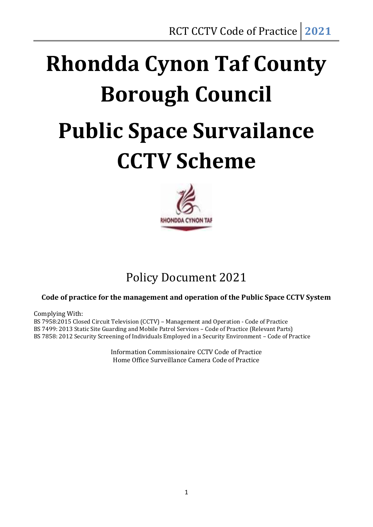# **Rhondda Cynon Taf County Borough Council Public Space Survailance CCTV Scheme**



### Policy Document 2021

#### **Code of practice for the management and operation of the Public Space CCTV System**

Complying With:

BS 7958:2015 Closed Circuit Television (CCTV) – Management and Operation - Code of Practice BS 7499: 2013 Static Site Guarding and Mobile Patrol Services – Code of Practice (Relevant Parts) BS 7858: 2012 Security Screening of Individuals Employed in a Security Environment – Code of Practice

> Information Commissionaire CCTV Code of Practice Home Office Surveillance Camera Code of Practice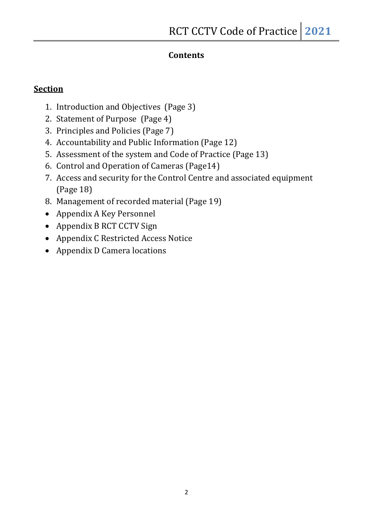#### **Contents**

#### **Section**

- 1. Introduction and Objectives (Page 3)
- 2. Statement of Purpose (Page 4)
- 3. Principles and Policies (Page 7)
- 4. Accountability and Public Information (Page 12)
- 5. Assessment of the system and Code of Practice (Page 13)
- 6. Control and Operation of Cameras (Page14)
- 7. Access and security for the Control Centre and associated equipment (Page 18)
- 8. Management of recorded material (Page 19)
- Appendix A Key Personnel
- Appendix B RCT CCTV Sign
- Appendix C Restricted Access Notice
- Appendix D Camera locations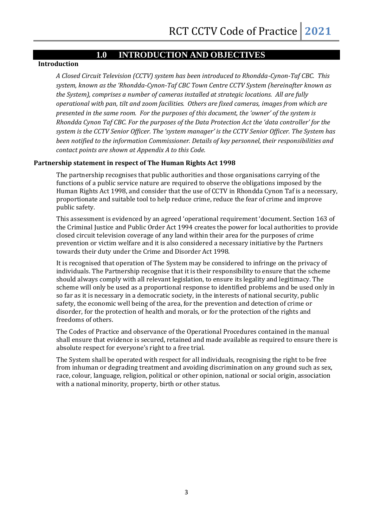#### **1.0 INTRODUCTION AND OBJECTIVES**

#### **Introduction**

*A Closed Circuit Television (CCTV) system has been introduced to Rhondda-Cynon-Taf CBC. This system, known as the 'Rhondda-Cynon-Taf CBC Town Centre CCTV System (hereinafter known as the System), comprises a number of cameras installed at strategic locations. All are fully operational with pan, tilt and zoom facilities. Others are fixed cameras, images from which are presented in the same room. For the purposes of this document, the 'owner' of the system is Rhondda Cynon Taf CBC. For the purposes of the Data Protection Act the 'data controller' for the system is the CCTV Senior Officer. The 'system manager' is the CCTV Senior Officer. The System has been notified to the information Commissioner. Details of key personnel, their responsibilities and contact points are shown at Appendix A to this Code.*

#### **Partnership statement in respect of The Human Rights Act 1998**

The partnership recognises that public authorities and those organisations carrying of the functions of a public service nature are required to observe the obligations imposed by the Human Rights Act 1998, and consider that the use of CCTV in Rhondda Cynon Taf is a necessary, proportionate and suitable tool to help reduce crime, reduce the fear of crime and improve public safety.

This assessment is evidenced by an agreed 'operational requirement 'document. Section 163 of the Criminal Justice and Public Order Act 1994 creates the power for local authorities to provide closed circuit television coverage of any land within their area for the purposes of crime prevention or victim welfare and it is also considered a necessary initiative by the Partners towards their duty under the Crime and Disorder Act 1998.

It is recognised that operation of The System may be considered to infringe on the privacy of individuals. The Partnership recognise that it is their responsibility to ensure that the scheme should always comply with all relevant legislation, to ensure its legality and legitimacy. The scheme will only be used as a proportional response to identified problems and be used only in so far as it is necessary in a democratic society, in the interests of national security, public safety, the economic well being of the area, for the prevention and detection of crime or disorder, for the protection of health and morals, or for the protection of the rights and freedoms of others.

The Codes of Practice and observance of the Operational Procedures contained in the manual shall ensure that evidence is secured, retained and made available as required to ensure there is absolute respect for everyone's right to a free trial.

The System shall be operated with respect for all individuals, recognising the right to be free from inhuman or degrading treatment and avoiding discrimination on any ground such as sex, race, colour, language, religion, political or other opinion, national or social origin, association with a national minority, property, birth or other status.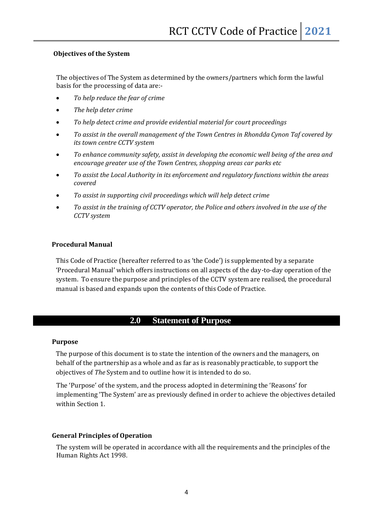#### **Objectives of the System**

The objectives of The System as determined by the owners/partners which form the lawful basis for the processing of data are:-

- *To help reduce the fear of crime*
- *The help deter crime*
- *To help detect crime and provide evidential material for court proceedings*
- *To assist in the overall management of the Town Centres in Rhondda Cynon Taf covered by its town centre CCTV system*
- *To enhance community safety, assist in developing the economic well being of the area and encourage greater use of the Town Centres, shopping areas car parks etc*
- *To assist the Local Authority in its enforcement and regulatory functions within the areas covered*
- *To assist in supporting civil proceedings which will help detect crime*
- *To assist in the training of CCTV operator, the Police and others involved in the use of the CCTV system*

#### **Procedural Manual**

This Code of Practice (hereafter referred to as 'the Code') is supplemented by a separate 'Procedural Manual' which offers instructions on all aspects of the day-to-day operation of the system. To ensure the purpose and principles of the CCTV system are realised, the procedural manual is based and expands upon the contents of this Code of Practice.

#### **2.0 Statement of Purpose**

#### **Purpose**

The purpose of this document is to state the intention of the owners and the managers, on behalf of the partnership as a whole and as far as is reasonably practicable, to support the objectives of *The* System and to outline how it is intended to do so.

The 'Purpose' of the system, and the process adopted in determining the 'Reasons' for implementing 'The System' are as previously defined in order to achieve the objectives detailed within Section 1.

#### **General Principles of Operation**

The system will be operated in accordance with all the requirements and the principles of the Human Rights Act 1998.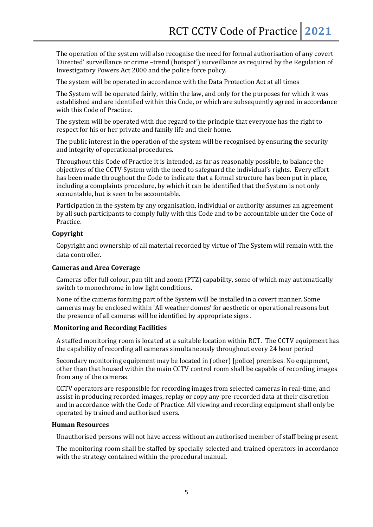The operation of the system will also recognise the need for formal authorisation of any covert 'Directed' surveillance or crime –trend (hotspot') surveillance as required by the Regulation of Investigatory Powers Act 2000 and the police force policy.

The system will be operated in accordance with the Data Protection Act at all times

The System will be operated fairly, within the law, and only for the purposes for which it was established and are identified within this Code, or which are subsequently agreed in accordance with this Code of Practice.

The system will be operated with due regard to the principle that everyone has the right to respect for his or her private and family life and their home.

The public interest in the operation of the system will be recognised by ensuring the security and integrity of operational procedures.

Throughout this Code of Practice it is intended, as far as reasonably possible, to balance the objectives of the CCTV System with the need to safeguard the individual's rights. Every effort has been made throughout the Code to indicate that a formal structure has been put in place, including a complaints procedure, by which it can be identified that the System is not only accountable, but is seen to be accountable.

Participation in the system by any organisation, individual or authority assumes an agreement by all such participants to comply fully with this Code and to be accountable under the Code of Practice.

#### **Copyright**

Copyright and ownership of all material recorded by virtue of The System will remain with the data controller.

#### **Cameras and Area Coverage**

Cameras offer full colour, pan tilt and zoom (PTZ) capability, some of which may automatically switch to monochrome in low light conditions.

None of the cameras forming part of the System will be installed in a covert manner. Some cameras may be enclosed within 'All weather domes' for aesthetic or operational reasons but the presence of all cameras will be identified by appropriate signs.

#### **Monitoring and Recording Facilities**

A staffed monitoring room is located at a suitable location within RCT. The CCTV equipment has the capability of recording all cameras simultaneously throughout every 24 hour period

Secondary monitoring equipment may be located in (other) [police] premises. No equipment, other than that housed within the main CCTV control room shall be capable of recording images from any of the cameras.

CCTV operators are responsible for recording images from selected cameras in real-time, and assist in producing recorded images, replay or copy any pre-recorded data at their discretion and in accordance with the Code of Practice. All viewing and recording equipment shall only be operated by trained and authorised users.

#### **Human Resources**

Unauthorised persons will not have access without an authorised member of staff being present.

The monitoring room shall be staffed by specially selected and trained operators in accordance with the strategy contained within the procedural manual.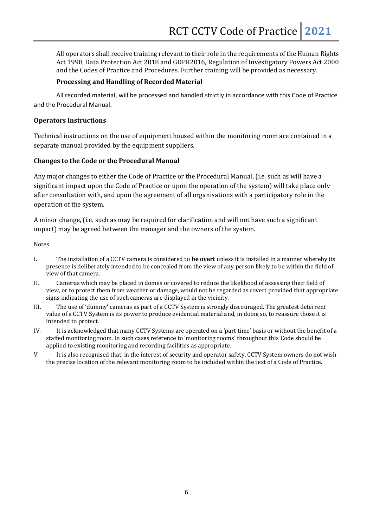All operators shall receive training relevant to their role in the requirements of the Human Rights Act 1998, Data Protection Act 2018 and GDPR2016, Regulation of Investigatory Powers Act 2000 and the Codes of Practice and Procedures. Further training will be provided as necessary.

#### **Processing and Handling of Recorded Material**

All recorded material, will be processed and handled strictly in accordance with this Code of Practice and the Procedural Manual.

#### **Operators Instructions**

Technical instructions on the use of equipment housed within the monitoring room are contained in a separate manual provided by the equipment suppliers.

#### **Changes to the Code or the Procedural Manual**

Any major changes to either the Code of Practice or the Procedural Manual, (i.e. such as will have a significant impact upon the Code of Practice or upon the operation of the system) will take place only after consultation with, and upon the agreement of all organisations with a participatory role in the operation of the system.

A minor change, (i.e. such as may be required for clarification and will not have such a significant impact) may be agreed between the manager and the owners of the system.

Notes

- I. The installation of a CCTV camera is considered to **be overt** unless it is installed in a manner whereby its presence is deliberately intended to be concealed from the view of any person likely to be within the field of view of that camera.
- II. Cameras which may be placed in domes or covered to reduce the likelihood of assessing their field of view, or to protect them from weather or damage, would not be regarded as covert provided that appropriate signs indicating the use of such cameras are displayed in the vicinity.
- III. The use of 'dummy' cameras as part of a CCTV System is strongly discouraged. The greatest deterrent value of a CCTV System is its power to produce evidential material and, in doing so, to reassure those it is intended to protect.
- IV. It is acknowledged that many CCTV Systems are operated on a 'part time' basis or without the benefit of a staffed monitoring room. In such cases reference to 'monitoring rooms' throughout this Code should be applied to existing monitoring and recording facilities as appropriate.
- V. It is also recognised that, in the interest of security and operator safety, CCTV System owners do not wish the precise location of the relevant monitoring room to be included within the text of a Code of Practice.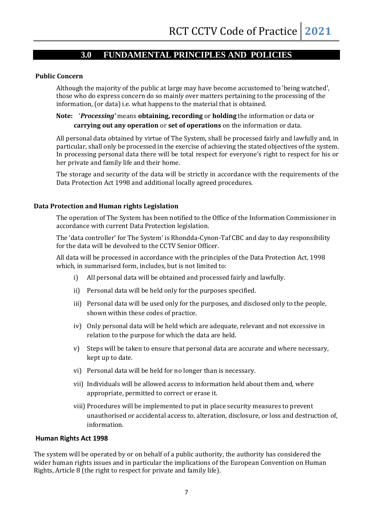#### **3.0 FUNDAMENTAL PRINCIPLES AND POLICIES**

#### **Public Concern**

Although the majority of the public at large may have become accustomed to 'being watched', those who do express concern do so mainly over matters pertaining to the processing of the information, (or data) i.e. what happens to the material that is obtained.

#### **Note:** '*Processing'* means **obtaining, recording** or **holding** the information or data or **carrying out any operation** or **set of operations** on the information or data.

All personal data obtained by virtue of The System, shall be processed fairly and lawfully and, in particular, shall only be processed in the exercise of achieving the stated objectives of the system. In processing personal data there will be total respect for everyone's right to respect for his or her private and family life and their home.

The storage and security of the data will be strictly in accordance with the requirements of the Data Protection Act 1998 and additional locally agreed procedures.

#### **Data Protection and Human rights Legislation**

The operation of The System has been notified to the Office of the Information Commissioner in accordance with current Data Protection legislation.

The 'data controller' for The System' is Rhondda-Cynon-Taf CBC and day to day responsibility for the data will be devolved to the CCTV Senior Officer.

All data will be processed in accordance with the principles of the Data Protection Act, 1998 which, in summarised form, includes, but is not limited to:

- i) All personal data will be obtained and processed fairly and lawfully.
- ii) Personal data will be held only for the purposes specified.
- iii) Personal data will be used only for the purposes, and disclosed only to the people, shown within these codes of practice.
- iv) Only personal data will be held which are adequate, relevant and not excessive in relation to the purpose for which the data are held.
- v) Steps will be taken to ensure that personal data are accurate and where necessary, kept up to date.
- vi) Personal data will be held for no longer than is necessary.
- vii) Individuals will be allowed access to information held about them and, where appropriate, permitted to correct or erase it.
- viii) Procedures will be implemented to put in place security measures to prevent unauthorised or accidental access to, alteration, disclosure, or loss and destruction of, information.

#### **Human Rights Act 1998**

The system will be operated by or on behalf of a public authority, the authority has considered the wider human rights issues and in particular the implications of the European Convention on Human Rights, Article 8 (the right to respect for private and family life).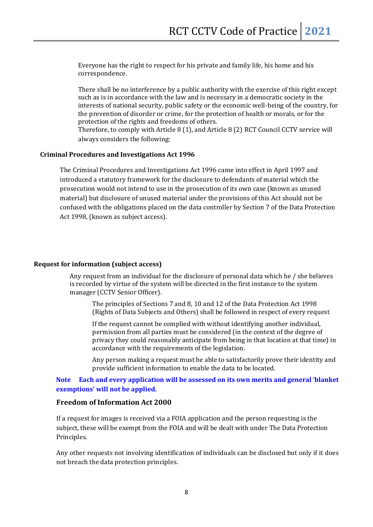Everyone has the right to respect for his private and family life, his home and his correspondence.

There shall be no interference by a public authority with the exercise of this right except such as is in accordance with the law and is necessary in a democratic society in the interests of national security, public safety or the economic well-being of the country, for the prevention of disorder or crime, for the protection of health or morals, or for the protection of the rights and freedoms of others.

Therefore, to comply with Article 8 (1), and Article 8 (2) RCT Council CCTV service will always considers the following:

#### **Criminal Procedures and Investigations Act 1996**

The Criminal Procedures and Investigations Act 1996 came into effect in April 1997 and introduced a statutory framework for the disclosure to defendants of material which the prosecution would not intend to use in the prosecution of its own case (known as unused material) but disclosure of unused material under the provisions of this Act should not be confused with the obligations placed on the data controller by Section 7 of the Data Protection Act 1998, (known as subject access).

#### **Request for information (subject access)**

Any request from an individual for the disclosure of personal data which he / she believes is recorded by virtue of the system will be directed in the first instance to the system manager (CCTV Senior Officer).

The principles of Sections 7 and 8, 10 and 12 of the Data Protection Act 1998 (Rights of Data Subjects and Others) shall be followed in respect of every request

If the request cannot be complied with without identifying another individual, permission from all parties must be considered (in the context of the degree of privacy they could reasonably anticipate from being in that location at that time) in accordance with the requirements of the legislation.

Any person making a request must be able to satisfactorily prove their identity and provide sufficient information to enable the data to be located.

#### **Note Each and every application will be assessed on its own merits and general 'blanket exemptions' will not be applied.**

#### **Freedom of Information Act 2000**

If a request for images is received via a FOIA application and the person requesting is the subject, these will be exempt from the FOIA and will be dealt with under The Data Protection Principles.

Any other requests not involving identification of individuals can be disclosed but only if it does not breach the data protection principles.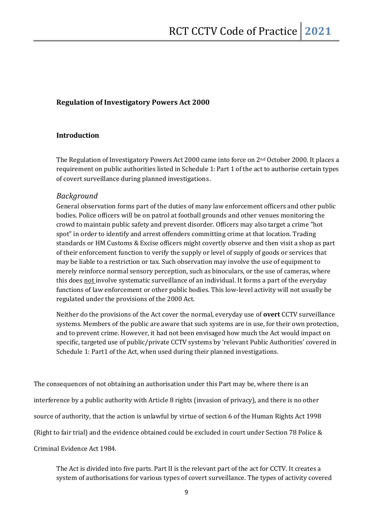#### **Regulation of Investigatory Powers Act 2000**

#### **Introduction**

The Regulation of Investigatory Powers Act 2000 came into force on  $2^{nd}$  October 2000. It places a requirement on public authorities listed in Schedule 1: Part 1 of the act to authorise certain types of covert surveillance during planned investigations.

#### *Background*

General observation forms part of the duties of many law enforcement officers and other public bodies. Police officers will be on patrol at football grounds and other venues monitoring the crowd to maintain public safety and prevent disorder. Officers may also target a crime "hot spot" in order to identify and arrest offenders committing crime at that location. Trading standards or HM Customs & Excise officers might covertly observe and then visit a shop as part of their enforcement function to verify the supply or level of supply of goods or services that may be liable to a restriction or tax. Such observation may involve the use of equipment to merely reinforce normal sensory perception, such as binoculars, or the use of cameras, where this does not involve systematic surveillance of an individual. It forms a part of the everyday functions of law enforcement or other public bodies. This low-level activity will not usually be regulated under the provisions of the 2000 Act.

Neither do the provisions of the Act cover the normal, everyday use of **overt** CCTV surveillance systems. Members of the public are aware that such systems are in use, for their own protection, and to prevent crime*.* However, it had not been envisaged how much the Act would impact on specific, targeted use of public/private CCTV systems by 'relevant Public Authorities' covered in Schedule 1: Part1 of the Act, when used during their planned investigations.

The consequences of not obtaining an authorisation under this Part may be, where there is an interference by a public authority with Article 8 rights (invasion of privacy), and there is no other source of authority, that the action is unlawful by virtue of section 6 of the Human Rights Act 1998 (Right to fair trial) and the evidence obtained could be excluded in court under Section 78 Police & Criminal Evidence Act 1984.

The Act is divided into five parts. Part II is the relevant part of the act for CCTV. It creates a system of authorisations for various types of covert surveillance. The types of activity covered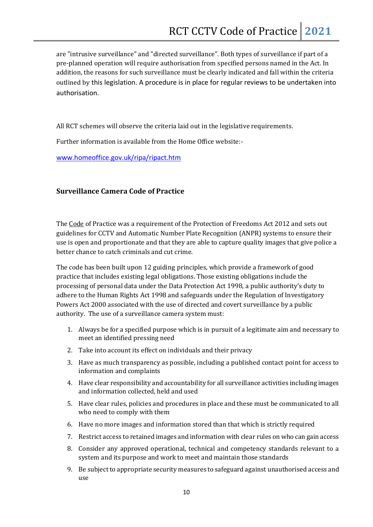are "intrusive surveillance" and "directed surveillance". Both types of surveillance if part of a pre-planned operation will require authorisation from specified persons named in the Act. In addition, the reasons for such surveillance must be clearly indicated and fall within the criteria outlined by this legislation. A procedure is in place for regular reviews to be undertaken into authorisation.

All RCT schemes will observe the criteria laid out in the legislative requirements.

Further information is available from the Home Office website:-

[www.homeoffice.gov.uk/ripa/ripact.htm](http://www.homeoffice.gov.uk/ripa/ripact.htm)

#### **Surveillance Camera Code of Practice**

The [Code](https://www.gov.uk/government/uploads/system/uploads/attachment_data/file/204775/Surveillance_Camera_Code_of_Practice_WEB.pdf) of Practice was a requirement of the Protection of Freedoms Act 2012 and sets out guidelines for CCTV and Automatic Number Plate Recognition (ANPR) systems to ensure their use is open and proportionate and that they are able to capture quality images that give police a better chance to catch criminals and cut crime.

The code has been built upon 12 guiding principles, which provide a framework of good practice that includes existing legal obligations. Those existing obligations include the processing of personal data under the Data Protection Act 1998, a public authority's duty to adhere to the Human Rights Act 1998 and safeguards under the Regulation of Investigatory Powers Act 2000 associated with the use of directed and covert surveillance by a public authority. The use of a surveillance camera system must:

- 1. Always be for a specified purpose which is in pursuit of a legitimate aim and necessary to meet an identified pressing need
- 2. Take into account its effect on individuals and their privacy
- 3. Have as much transparency as possible, including a published contact point for access to information and complaints
- 4. Have clear responsibility and accountability for all surveillance activities including images and information collected, held and used
- 5. Have clear rules, policies and procedures in place and these must be communicated to all who need to comply with them
- 6. Have no more images and information stored than that which is strictly required
- 7. Restrict access to retained images and information with clear rules on who can gain access
- 8. Consider any approved operational, technical and competency standards relevant to a system and its purpose and work to meet and maintain those standards
- 9. Be subject to appropriate security measures to safeguard against unauthorised access and use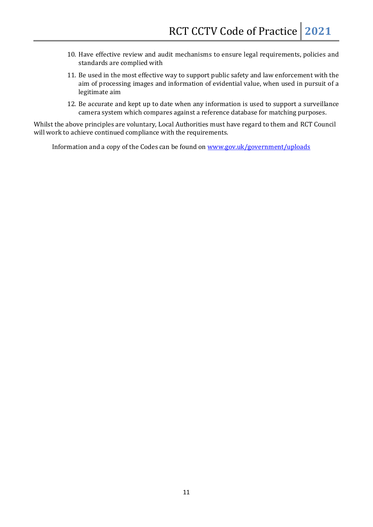- 10. Have effective review and audit mechanisms to ensure legal requirements, policies and standards are complied with
- 11. Be used in the most effective way to support public safety and law enforcement with the aim of processing images and information of evidential value, when used in pursuit of a legitimate aim
- 12. Be accurate and kept up to date when any information is used to support a surveillance camera system which compares against a reference database for matching purposes.

Whilst the above principles are voluntary, Local Authorities must have regard to them and RCT Council will work to achieve continued compliance with the requirements.

Information and a copy of the Codes can be found on [www.gov.uk/government/uploads](http://www.gov.uk/government/uploads)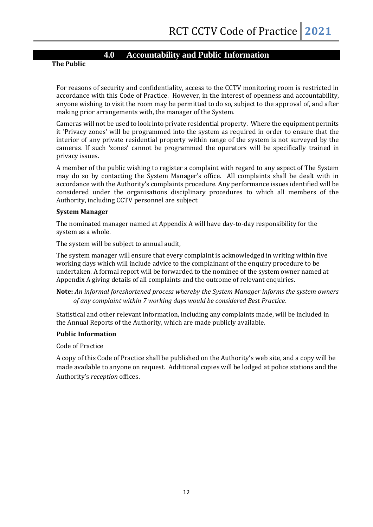#### **4.0 Accountability and Public Information**

**The Public**

For reasons of security and confidentiality, access to the CCTV monitoring room is restricted in accordance with this Code of Practice. However, in the interest of openness and accountability, anyone wishing to visit the room may be permitted to do so, subject to the approval of, and after making prior arrangements with, the manager of the System.

Cameras will not be used to look into private residential property. Where the equipment permits it 'Privacy zones' will be programmed into the system as required in order to ensure that the interior of any private residential property within range of the system is not surveyed by the cameras. If such 'zones' cannot be programmed the operators will be specifically trained in privacy issues.

A member of the public wishing to register a complaint with regard to any aspect of The System may do so by contacting the System Manager's office. All complaints shall be dealt with in accordance with the Authority's complaints procedure. Any performance issues identified will be considered under the organisations disciplinary procedures to which all members of the Authority, including CCTV personnel are subject.

#### **System Manager**

The nominated manager named at Appendix A will have day-to-day responsibility for the system as a whole.

The system will be subject to annual audit,

The system manager will ensure that every complaint is acknowledged in writing within five working days which will include advice to the complainant of the enquiry procedure to be undertaken. A formal report will be forwarded to the nominee of the system owner named at Appendix A giving details of all complaints and the outcome of relevant enquiries.

#### **Note:** *An informal foreshortened process whereby the System Manager informs the system owners of any complaint within 7 working days would be considered Best Practice.*

Statistical and other relevant information, including any complaints made, will be included in the Annual Reports of the Authority, which are made publicly available.

#### **Public Information**

#### Code of Practice

A copy of this Code of Practice shall be published on the Authority's web site, and a copy will be made available to anyone on request. Additional copies will be lodged at police stations and the Authority's *reception* offices.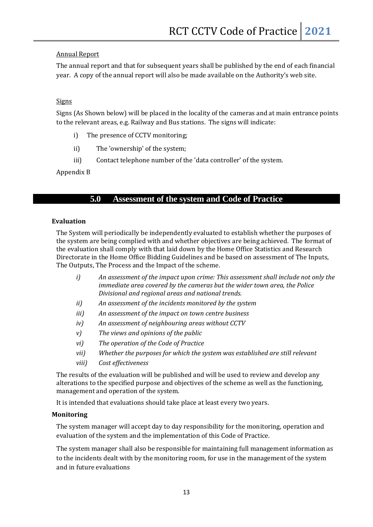#### Annual Report

The annual report and that for subsequent years shall be published by the end of each financial year. A copy of the annual report will also be made available on the Authority's web site.

#### Signs

Signs (As Shown below) will be placed in the locality of the cameras and at main entrance points to the relevant areas, e.g. Railway and Bus stations. The signs will indicate:

- i) The presence of CCTV monitoring;
- ii) The 'ownership' of the system;
- iii) Contact telephone number of the 'data controller' of the system.

#### Appendix B

#### **5.0 Assessment of the system and Code of Practice**

#### **Evaluation**

The System will periodically be independently evaluated to establish whether the purposes of the system are being complied with and whether objectives are being achieved. The format of the evaluation shall comply with that laid down by the Home Office Statistics and Research Directorate in the Home Office Bidding Guidelines and be based on assessment of The Inputs, The Outputs, The Process and the Impact of the scheme.

- *i) An assessment of the impact upon crime: This assessment shall include not only the immediate area covered by the cameras but the wider town area, the Police Divisional and regional areas and national trends.*
- *ii) An assessment of the incidents monitored by the system*
- *iii) An assessment of the impact on town centre business*
- *iv) An assessment of neighbouring areas without CCTV*
- *v) The views and opinions of the public*
- *vi) The operation of the Code of Practice*
- *vii) Whether the purposes for which the system was established are still relevant*
- *viii) Cost effectiveness*

The results of the evaluation will be published and will be used to review and develop any alterations to the specified purpose and objectives of the scheme as well as the functioning, management and operation of the system.

It is intended that evaluations should take place at least every two years.

#### **Monitoring**

The system manager will accept day to day responsibility for the monitoring, operation and evaluation of the system and the implementation of this Code of Practice.

The system manager shall also be responsible for maintaining full management information as to the incidents dealt with by the monitoring room, for use in the management of the system and in future evaluations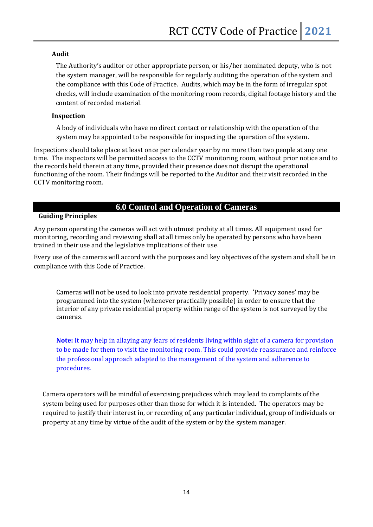#### **Audit**

The Authority's auditor or other appropriate person, or his/her nominated deputy, who is not the system manager, will be responsible for regularly auditing the operation of the system and the compliance with this Code of Practice. Audits, which may be in the form of irregular spot checks, will include examination of the monitoring room records, digital footage history and the content of recorded material.

#### **Inspection**

A body of individuals who have no direct contact or relationship with the operation of the system may be appointed to be responsible for inspecting the operation of the system.

Inspections should take place at least once per calendar year by no more than two people at any one time. The inspectors will be permitted access to the CCTV monitoring room, without prior notice and to the records held therein at any time, provided their presence does not disrupt the operational functioning of the room. Their findings will be reported to the Auditor and their visit recorded in the CCTV monitoring room.

#### **6.0 Control and Operation of Cameras**

#### **Guiding Principles**

Any person operating the cameras will act with utmost probity at all times. All equipment used for monitoring, recording and reviewing shall at all times only be operated by persons who have been trained in their use and the legislative implications of their use.

Every use of the cameras will accord with the purposes and key objectives of the system and shall be in compliance with this Code of Practice.

Cameras will not be used to look into private residential property. 'Privacy zones' may be programmed into the system (whenever practically possible) in order to ensure that the interior of any private residential property within range of the system is not surveyed by the cameras.

**Note:** It may help in allaying any fears of residents living within sight of a camera for provision to be made for them to visit the monitoring room. This could provide reassurance and reinforce the professional approach adapted to the management of the system and adherence to procedures.

Camera operators will be mindful of exercising prejudices which may lead to complaints of the system being used for purposes other than those for which it is intended. The operators may be required to justify their interest in, or recording of, any particular individual, group of individuals or property at any time by virtue of the audit of the system or by the system manager.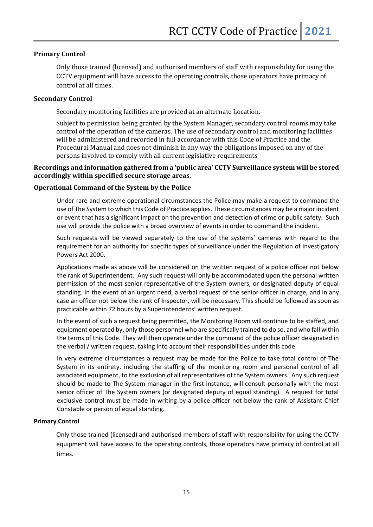#### **Primary Control**

Only those trained (licensed) and authorised members of staff with responsibility for using the CCTV equipment will have access to the operating controls, those operators have primacy of control at all times.

#### **Secondary Control**

Secondary monitoring facilities are provided at an alternate Location.

Subject to permission being granted by the System Manager, secondary control rooms may take control of the operation of the cameras. The use of secondary control and monitoring facilities will be administered and recorded in full accordance with this Code of Practice and the Procedural Manual and does not diminish in any way the obligations imposed on any of the persons involved to comply with all current legislative requirements

#### **Recordings and information gathered from a 'public area' CCTV Surveillance system will be stored accordingly within specified secure storage areas.**

#### **Operational Command of the System by the Police**

Under rare and extreme operational circumstances the Police may make a request to command the use of The System to which this Code of Practice applies. These circumstances may be a major incident or event that has a significant impact on the prevention and detection of crime or public safety. Such use will provide the police with a broad overview of events in order to command the incident.

Such requests will be viewed separately to the use of the systems' cameras with regard to the requirement for an authority for specific types of surveillance under the Regulation of Investigatory Powers Act 2000.

Applications made as above will be considered on the written request of a police officer not below the rank of Superintendent. Any such request will only be accommodated upon the personal written permission of the most senior representative of the System owners, or designated deputy of equal standing. In the event of an urgent need, a verbal request of the senior officer in charge, and in any case an officer not below the rank of Inspector, will be necessary. This should be followed as soon as practicable within 72 hours by a Superintendents' written request.

In the event of such a request being permitted, the Monitoring Room will continue to be staffed, and equipment operated by, only those personnel who are specifically trained to do so, and who fall within the terms of this Code. They will then operate under the command of the police officer designated in the verbal / written request, taking into account their responsibilities under this code.

In very extreme circumstances a request may be made for the Police to take total control of The System in its entirety, including the staffing of the monitoring room and personal control of all associated equipment, to the exclusion of all representatives of the System owners. Any such request should be made to The System manager in the first instance, will consult personally with the most senior officer of The System owners (or designated deputy of equal standing). A request for total exclusive control must be made in writing by a police officer not below the rank of Assistant Chief Constable or person of equal standing.

#### **Primary Control**

Only those trained (licensed) and authorised members of staff with responsibility for using the CCTV equipment will have access to the operating controls, those operators have primacy of control at all times.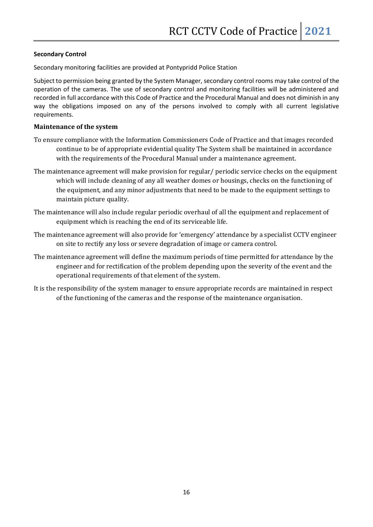#### **Secondary Control**

Secondary monitoring facilities are provided at Pontypridd Police Station

Subject to permission being granted by the System Manager, secondary control rooms may take control of the operation of the cameras. The use of secondary control and monitoring facilities will be administered and recorded in full accordance with this Code of Practice and the Procedural Manual and does not diminish in any way the obligations imposed on any of the persons involved to comply with all current legislative requirements.

#### **Maintenance of the system**

- To ensure compliance with the Information Commissioners Code of Practice and that images recorded continue to be of appropriate evidential quality The System shall be maintained in accordance with the requirements of the Procedural Manual under a maintenance agreement.
- The maintenance agreement will make provision for regular/ periodic service checks on the equipment which will include cleaning of any all weather domes or housings, checks on the functioning of the equipment, and any minor adjustments that need to be made to the equipment settings to maintain picture quality.
- The maintenance will also include regular periodic overhaul of all the equipment and replacement of equipment which is reaching the end of its serviceable life.
- The maintenance agreement will also provide for 'emergency' attendance by a specialist CCTV engineer on site to rectify any loss or severe degradation of image or camera control.
- The maintenance agreement will define the maximum periods of time permitted for attendance by the engineer and for rectification of the problem depending upon the severity of the event and the operational requirements of that element of the system.
- It is the responsibility of the system manager to ensure appropriate records are maintained in respect of the functioning of the cameras and the response of the maintenance organisation.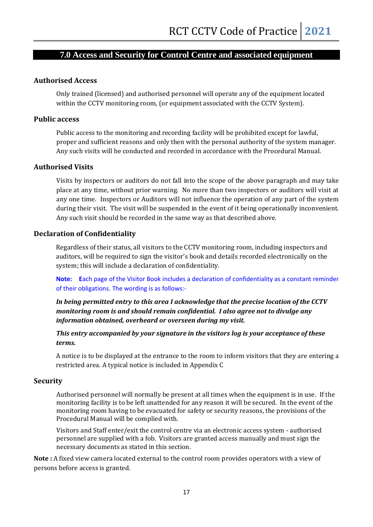#### **7.0 Access and Security for Control Centre and associated equipment**

#### **Authorised Access**

Only trained (licensed) and authorised personnel will operate any of the equipment located within the CCTV monitoring room, (or equipment associated with the CCTV System).

#### **Public access**

Public access to the monitoring and recording facility will be prohibited except for lawful, proper and sufficient reasons and only then with the personal authority of the system manager. Any such visits will be conducted and recorded in accordance with the Procedural Manual.

#### **Authorised Visits**

Visits by inspectors or auditors do not fall into the scope of the above paragraph and may take place at any time, without prior warning. No more than two inspectors or auditors will visit at any one time. Inspectors or Auditors will not influence the operation of any part of the system during their visit. The visit will be suspended in the event of it being operationally inconvenient. Any such visit should be recorded in the same way as that described above.

#### **Declaration of Confidentiality**

Regardless of their status, all visitors to the CCTV monitoring room, including inspectors and auditors, will be required to sign the visitor's book and details recorded electronically on the system; this will include a declaration of confidentiality.

**Note: E**ach page of the Visitor Book includes a declaration of confidentiality as a constant reminder of their obligations. The wording is as follows:-

*In being permitted entry to this area I acknowledge that the precise location of the CCTV monitoring room is and should remain confidential. I also agree not to divulge any information obtained, overheard or overseen during my visit.* 

*This entry accompanied by your signature in the visitors log is your acceptance of these terms.* 

A notice is to be displayed at the entrance to the room to inform visitors that they are entering a restricted area. A typical notice is included in Appendix C

#### **Security**

Authorised personnel will normally be present at all times when the equipment is in use. If the monitoring facility is to be left unattended for any reason it will be secured. In the event of the monitoring room having to be evacuated for safety or security reasons, the provisions of the Procedural Manual will be complied with.

Visitors and Staff enter/exit the control centre via an electronic access system - authorised personnel are supplied with a fob. Visitors are granted access manually and must sign the necessary documents as stated in this section.

**Note :** A fixed view camera located external to the control room provides operators with a view of persons before access is granted.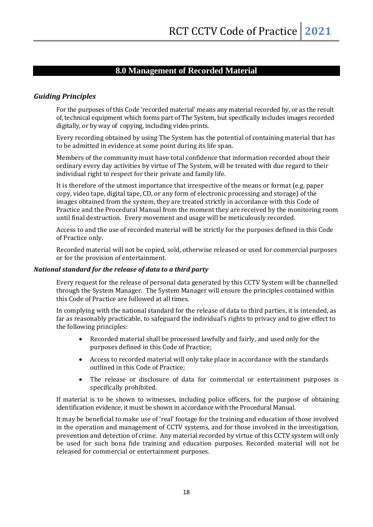#### **8.0 Management of Recorded Material**

#### *Guiding Principles*

For the purposes of this Code 'recorded material' means any material recorded by, or as the result of, technical equipment which forms part of The System, but specifically includes images recorded digitally, or by way of copying, including video prints.

Every recording obtained by using The System has the potential of containing material that has to be admitted in evidence at some point during its life span.

Members of the community must have total confidence that information recorded about their ordinary every day activities by virtue of The System, will be treated with due regard to their individual right to respect for their private and family life.

It is therefore of the utmost importance that irrespective of the means or format (e.g. paper copy, video tape, digital tape, CD, or any form of electronic processing and storage) of the images obtained from the system, they are treated strictly in accordance with this Code of Practice and the Procedural Manual from the moment they are received by the monitoring room until final destruction. Every movement and usage will be meticulously recorded.

Access to and the use of recorded material will be strictly for the purposes defined in this Code of Practice only.

Recorded material will not be copied, sold, otherwise released or used for commercial purposes or for the provision of entertainment.

#### *National standard for the release of data to a third party*

Every request for the release of personal data generated by this CCTV System will be channelled through the System Manager. The System Manager will ensure the principles contained within this Code of Practice are followed at all times.

In complying with the national standard for the release of data to third parties, it is intended, as far as reasonably practicable, to safeguard the individual's rights to privacy and to give effect to the following principles:

- Recorded material shall be processed lawfully and fairly, and used only for the purposes defined in this Code of Practice;
- Access to recorded material will only take place in accordance with the standards outlined in this Code of Practice;
- The release or disclosure of data for commercial or entertainment purposes is specifically prohibited.

If material is to be shown to witnesses, including police officers, for the purpose of obtaining identification evidence, it must be shown in accordance with the Procedural Manual.

It may be beneficial to make use of 'real' footage for the training and education of those involved in the operation and management of CCTV systems, and for those involved in the investigation, prevention and detection of crime. Any material recorded by virtue of this CCTV system will only be used for such bona fide training and education purposes. Recorded material will not be released for commercial or entertainment purposes.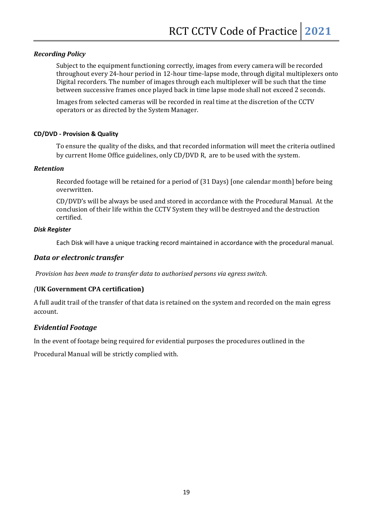#### *Recording Policy*

Subject to the equipment functioning correctly, images from every camera will be recorded throughout every 24-hour period in 12-hour time-lapse mode, through digital multiplexers onto Digital recorders. The number of images through each multiplexer will be such that the time between successive frames once played back in time lapse mode shall not exceed 2 seconds.

Images from selected cameras will be recorded in real time at the discretion of the CCTV operators or as directed by the System Manager.

#### **CD/DVD - Provision & Quality**

To ensure the quality of the disks, and that recorded information will meet the criteria outlined by current Home Office guidelines, only CD/DVD R, are to be used with the system.

#### *Retention*

Recorded footage will be retained for a period of (31 Days) [one calendar month] before being overwritten.

CD/DVD's will be always be used and stored in accordance with the Procedural Manual. At the conclusion of their life within the CCTV System they will be destroyed and the destruction certified.

#### *Disk Register*

Each Disk will have a unique tracking record maintained in accordance with the procedural manual.

#### *Data or electronic transfer*

*Provision has been made to transfer data to authorised persons via egress switch.* 

#### *(***UK Government CPA certification)**

A full audit trail of the transfer of that data is retained on the system and recorded on the main egress account.

#### *Evidential Footage*

In the event of footage being required for evidential purposes the procedures outlined in the

Procedural Manual will be strictly complied with.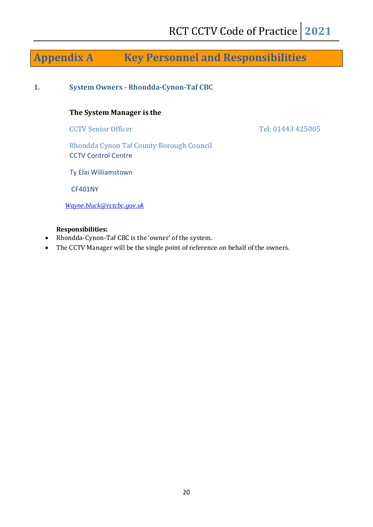### **Appendix A Key Personnel and Responsibilities**

**1. System Owners - Rhondda-Cynon-Taf CBC**

#### **The System Manager is the**

CCTV Senior Officer Tel: 01443 425005

Rhondda Cynon Taf County Borough Council CCTV Control Centre

Ty Elai Williamstown

CF401NY

*[Wayne.bluck@rctcbc.gov.uk](mailto:Wayne.bluck@rctcbc.gov.uk)*

#### **Responsibilities:**

- Rhondda-Cynon-Taf CBC is the 'owner' of the system.
- The CCTV Manager will be the single point of reference on behalf of the owners.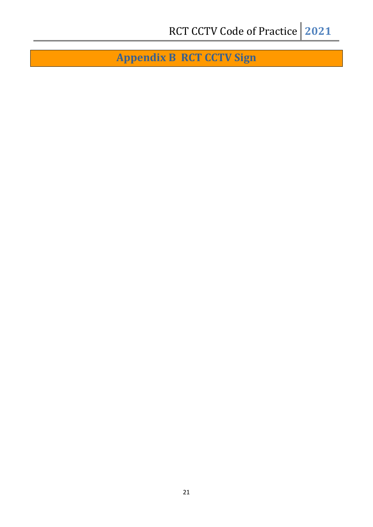**Appendix B RCT CCTV Sign**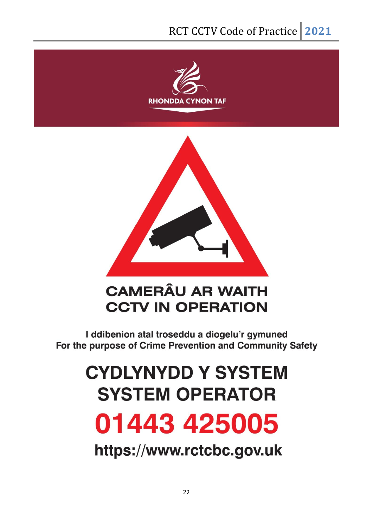



## **CAMERÂU AR WAITH CCTV IN OPERATION**

I ddibenion atal troseddu a diogelu'r gymuned For the purpose of Crime Prevention and Community Safety

## **CYDLYNYDD Y SYSTEM SYSTEM OPERATOR** 01443 425005

https://www.rctcbc.gov.uk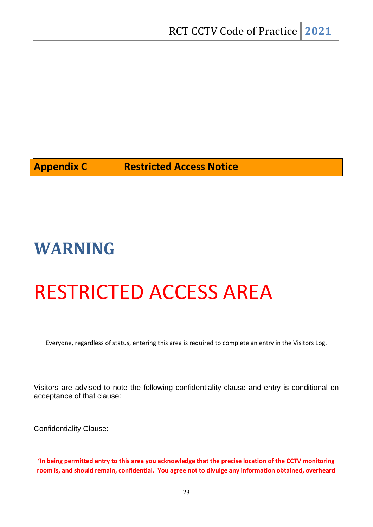#### **Appendix C Restricted Access Notice**

## **WARNING**

## RESTRICTED ACCESS AREA

Everyone, regardless of status, entering this area is required to complete an entry in the Visitors Log.

Visitors are advised to note the following confidentiality clause and entry is conditional on acceptance of that clause:

Confidentiality Clause:

**'In being permitted entry to this area you acknowledge that the precise location of the CCTV monitoring room is, and should remain, confidential. You agree not to divulge any information obtained, overheard**